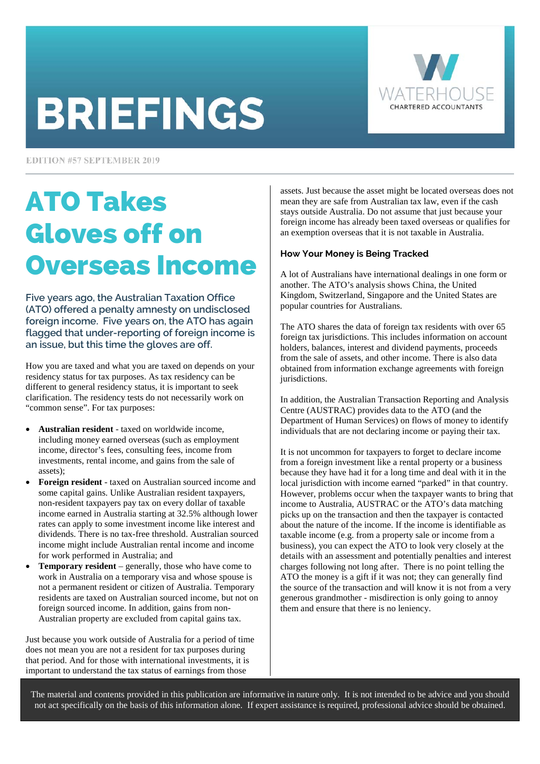# **BRIEFINGS**



**EDITION #57 SEPTEMBER 2019** 

# ATO Takes Gloves off on Overseas Income

**Five years ago, the Australian Taxation Office (ATO) offered a penalty amnesty on undisclosed foreign income. Five years on, the ATO has again flagged that under-reporting of foreign income is an issue, but this time the gloves are off.** 

How you are taxed and what you are taxed on depends on your residency status for tax purposes. As tax residency can be different to general residency status, it is important to seek clarification. The residency tests do not necessarily work on "common sense". For tax purposes:

- **Australian resident** taxed on worldwide income, including money earned overseas (such as employment income, director's fees, consulting fees, income from investments, rental income, and gains from the sale of assets);
- **Foreign resident** taxed on Australian sourced income and some capital gains. Unlike Australian resident taxpayers, non-resident taxpayers pay tax on every dollar of taxable income earned in Australia starting at 32.5% although lower rates can apply to some investment income like interest and dividends. There is no tax-free threshold. Australian sourced income might include Australian rental income and income for work performed in Australia; and
- **Temporary resident** generally, those who have come to work in Australia on a temporary visa and whose spouse is not a permanent resident or citizen of Australia. Temporary residents are taxed on Australian sourced income, but not on foreign sourced income. In addition, gains from non-Australian property are excluded from capital gains tax.

Just because you work outside of Australia for a period of time does not mean you are not a resident for tax purposes during that period. And for those with international investments, it is important to understand the tax status of earnings from those

assets. Just because the asset might be located overseas does not mean they are safe from Australian tax law, even if the cash stays outside Australia. Do not assume that just because your foreign income has already been taxed overseas or qualifies for an exemption overseas that it is not taxable in Australia.

### **How Your Money is Being Tracked**

A lot of Australians have international dealings in one form or another. The ATO's analysis shows China, the United Kingdom, Switzerland, Singapore and the United States are popular countries for Australians.

The ATO shares the data of foreign tax residents with over 65 foreign tax jurisdictions. This includes information on account holders, balances, interest and dividend payments, proceeds from the sale of assets, and other income. There is also data obtained from information exchange agreements with foreign jurisdictions.

In addition, the Australian Transaction Reporting and Analysis Centre (AUSTRAC) provides data to the ATO (and the Department of Human Services) on flows of money to identify individuals that are not declaring income or paying their tax.

It is not uncommon for taxpayers to forget to declare income from a foreign investment like a rental property or a business because they have had it for a long time and deal with it in the local jurisdiction with income earned "parked" in that country. However, problems occur when the taxpayer wants to bring that income to Australia, AUSTRAC or the ATO's data matching picks up on the transaction and then the taxpayer is contacted about the nature of the income. If the income is identifiable as taxable income (e.g. from a property sale or income from a business), you can expect the ATO to look very closely at the details with an assessment and potentially penalties and interest charges following not long after. There is no point telling the ATO the money is a gift if it was not; they can generally find the source of the transaction and will know it is not from a very generous grandmother - misdirection is only going to annoy them and ensure that there is no leniency.

The material and contents provided in this publication are informative in nature only. It is not intended to be advice and you should not act specifically on the basis of this information alone. If expert assistance is required, professional advice should be obtained.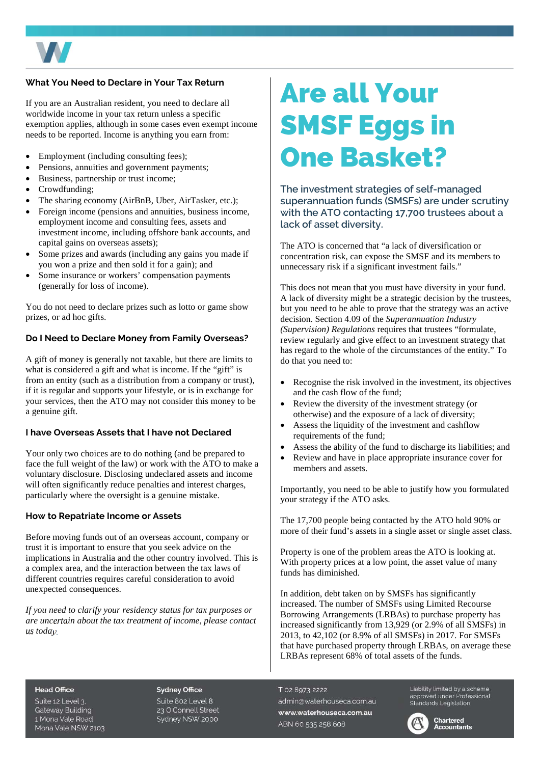

### **What You Need to Declare in Your Tax Return**

If you are an Australian resident, you need to declare all worldwide income in your tax return unless a specific exemption applies, although in some cases even exempt income needs to be reported. Income is anything you earn from:

- Employment (including consulting fees);
- Pensions, annuities and government payments;
- Business, partnership or trust income;
- Crowdfunding;
- The sharing economy (AirBnB, Uber, AirTasker, etc.);
- Foreign income (pensions and annuities, business income, employment income and consulting fees, assets and investment income, including offshore bank accounts, and capital gains on overseas assets);
- Some prizes and awards (including any gains you made if you won a prize and then sold it for a gain); and
- Some insurance or workers' compensation payments (generally for loss of income).

You do not need to declare prizes such as lotto or game show prizes, or ad hoc gifts.

### **Do I Need to Declare Money from Family Overseas?**

A gift of money is generally not taxable, but there are limits to what is considered a gift and what is income. If the "gift" is from an entity (such as a distribution from a company or trust), if it is regular and supports your lifestyle, or is in exchange for your services, then the ATO may not consider this money to be a genuine gift.

### **I have Overseas Assets that I have not Declared**

Your only two choices are to do nothing (and be prepared to face the full weight of the law) or work with the ATO to make a voluntary disclosure. Disclosing undeclared assets and income will often significantly reduce penalties and interest charges, particularly where the oversight is a genuine mistake.

### **How to Repatriate Income or Assets**

Before moving funds out of an overseas account, company or trust it is important to ensure that you seek advice on the implications in Australia and the other country involved. This is a complex area, and the interaction between the tax laws of different countries requires careful consideration to avoid unexpected consequences.

*If you need to clarify your residency status for tax purposes or are uncertain about the tax treatment of income, please contact us today.*

# Are all Your SMSF Eggs in One Basket?

**The investment strategies of self-managed superannuation funds (SMSFs) are under scrutiny with the ATO contacting 17,700 trustees about a lack of asset diversity.** 

The ATO is concerned that "a lack of diversification or concentration risk, can expose the SMSF and its members to unnecessary risk if a significant investment fails."

This does not mean that you must have diversity in your fund. A lack of diversity might be a strategic decision by the trustees, but you need to be able to prove that the strategy was an active decision. Section 4.09 of the *Superannuation Industry (Supervision) Regulations* requires that trustees "formulate, review regularly and give effect to an investment strategy that has regard to the whole of the circumstances of the entity." To do that you need to:

- Recognise the risk involved in the investment, its objectives and the cash flow of the fund;
- Review the diversity of the investment strategy (or otherwise) and the exposure of a lack of diversity;
- Assess the liquidity of the investment and cashflow requirements of the fund;
- Assess the ability of the fund to discharge its liabilities; and
- Review and have in place appropriate insurance cover for members and assets.

Importantly, you need to be able to justify how you formulated your strategy if the ATO asks.

The 17,700 people being contacted by the ATO hold 90% or more of their fund's assets in a single asset or single asset class.

Property is one of the problem areas the ATO is looking at. With property prices at a low point, the asset value of many funds has diminished.

In addition, debt taken on by SMSFs has significantly increased. The number of SMSFs using Limited Recourse Borrowing Arrangements (LRBAs) to purchase property has increased significantly from 13,929 (or 2.9% of all SMSFs) in 2013, to 42,102 (or 8.9% of all SMSFs) in 2017. For SMSFs that have purchased property through LRBAs, on average these LRBAs represent 68% of total assets of the funds.

#### **Head Office**

Suite 12 Level 3. **Gateway Building** 1 Mona Vale Road Mona Vale NSW 2103

**Sydney Office** Suite 802 Level 8 23 O'Connell Street Sydney NSW 2000

#### T 02 8973 2222

admin@waterhouseca.com.au www.waterhouseca.com.au ABN 60 535 258 608

Liability limited by a scheme approved under Professional<br>Standards Legislation



Chartered **Accountants**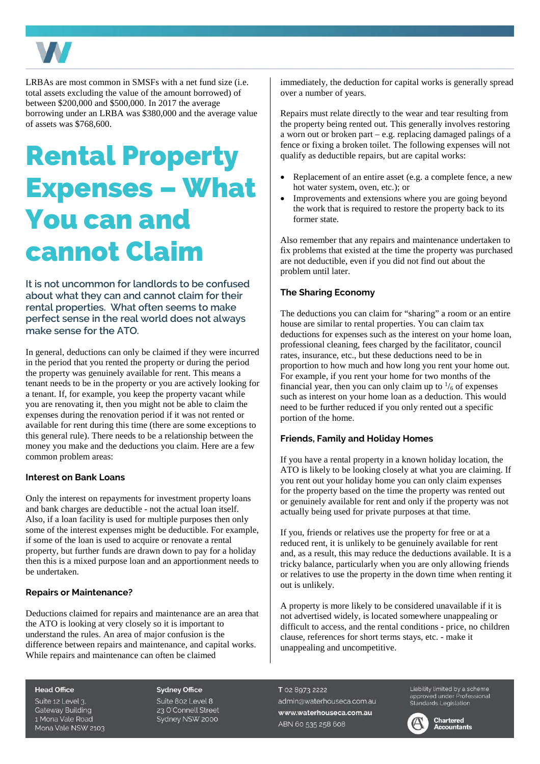

LRBAs are most common in SMSFs with a net fund size (i.e. total assets excluding the value of the amount borrowed) of between \$200,000 and \$500,000. In 2017 the average borrowing under an LRBA was \$380,000 and the average value of assets was \$768,600.

# Rental Property Expenses – What You can and cannot Claim

**It is not uncommon for landlords to be confused about what they can and cannot claim for their rental properties. What often seems to make perfect sense in the real world does not always make sense for the ATO.** 

In general, deductions can only be claimed if they were incurred in the period that you rented the property or during the period the property was genuinely available for rent. This means a tenant needs to be in the property or you are actively looking for a tenant. If, for example, you keep the property vacant while you are renovating it, then you might not be able to claim the expenses during the renovation period if it was not rented or available for rent during this time (there are some exceptions to this general rule). There needs to be a relationship between the money you make and the deductions you claim. Here are a few common problem areas:

### **Interest on Bank Loans**

Only the interest on repayments for investment property loans and bank charges are deductible - not the actual loan itself. Also, if a loan facility is used for multiple purposes then only some of the interest expenses might be deductible. For example, if some of the loan is used to acquire or renovate a rental property, but further funds are drawn down to pay for a holiday then this is a mixed purpose loan and an apportionment needs to be undertaken.

### **Repairs or Maintenance?**

Deductions claimed for repairs and maintenance are an area that the ATO is looking at very closely so it is important to understand the rules. An area of major confusion is the difference between repairs and maintenance, and capital works. While repairs and maintenance can often be claimed

immediately, the deduction for capital works is generally spread over a number of years.

Repairs must relate directly to the wear and tear resulting from the property being rented out. This generally involves restoring a worn out or broken part – e.g. replacing damaged palings of a fence or fixing a broken toilet. The following expenses will not qualify as deductible repairs, but are capital works:

- Replacement of an entire asset (e.g. a complete fence, a new hot water system, oven, etc.); or
- Improvements and extensions where you are going beyond the work that is required to restore the property back to its former state.

Also remember that any repairs and maintenance undertaken to fix problems that existed at the time the property was purchased are not deductible, even if you did not find out about the problem until later.

### **The Sharing Economy**

The deductions you can claim for "sharing" a room or an entire house are similar to rental properties. You can claim tax deductions for expenses such as the interest on your home loan, professional cleaning, fees charged by the facilitator, council rates, insurance, etc., but these deductions need to be in proportion to how much and how long you rent your home out. For example, if you rent your home for two months of the financial year, then you can only claim up to  $\frac{1}{6}$  of expenses such as interest on your home loan as a deduction. This would need to be further reduced if you only rented out a specific portion of the home.

### **Friends, Family and Holiday Homes**

If you have a rental property in a known holiday location, the ATO is likely to be looking closely at what you are claiming. If you rent out your holiday home you can only claim expenses for the property based on the time the property was rented out or genuinely available for rent and only if the property was not actually being used for private purposes at that time.

If you, friends or relatives use the property for free or at a reduced rent, it is unlikely to be genuinely available for rent and, as a result, this may reduce the deductions available. It is a tricky balance, particularly when you are only allowing friends or relatives to use the property in the down time when renting it out is unlikely.

A property is more likely to be considered unavailable if it is not advertised widely, is located somewhere unappealing or difficult to access, and the rental conditions - price, no children clause, references for short terms stays, etc. - make it unappealing and uncompetitive.

#### **Head Office**

Suite 12 Level 3. **Gateway Building** 1 Mona Vale Road Mona Vale NSW 2103 **Sydney Office** Suite 802 Level 8 23 O'Connell Street Sydney NSW 2000

T 02 8973 2222 admin@waterhouseca.com.au www.waterhouseca.com.au ABN 60 535 258 608

Liability limited by a scheme approved under Professional<br>Standards Legislation



**Chartered Accountants**